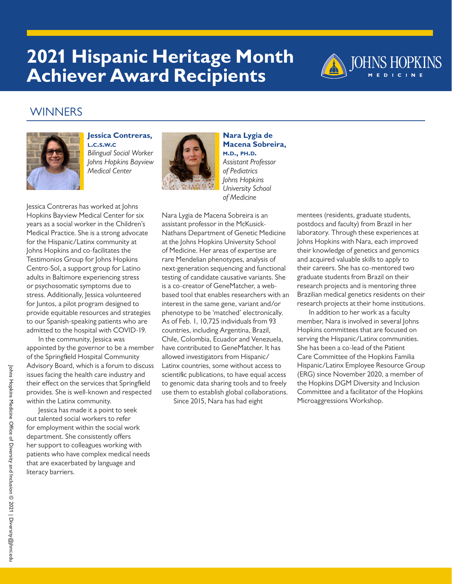

### **WINNERS**



**Jessica Contreras, l.c.s.w.c** *Bilingual Social Worker Johns Hopkins Bayview Medical Center*



**Nara Lygia de Macena Sobreira, m.d., ph.d.**  *Assistant Professor of Pediatrics Johns Hopkins University School of Medicine*

Jessica Contreras has worked at Johns Hopkins Bayview Medical Center for six years as a social worker in the Children's Medical Practice. She is a strong advocate for the Hispanic/Latinx community at Johns Hopkins and co-facilitates the Testimonios Group for Johns Hopkins Centro-Sol, a support group for Latino adults in Baltimore experiencing stress or psychosomatic symptoms due to stress. Additionally, Jessica volunteered for Juntos, a pilot program designed to provide equitable resources and strategies to our Spanish-speaking patients who are admitted to the hospital with COVID-19.

In the community, Jessica was appointed by the governor to be a member of the Springfield Hospital Community Advisory Board, which is a forum to discuss issues facing the health care industry and their effect on the services that Springfield provides. She is well-known and respected within the Latinx community.

Jessica has made it a point to seek out talented social workers to refer for employment within the social work department. She consistently offers her support to colleagues working with patients who have complex medical needs that are exacerbated by language and literacy barriers.

Nara Lygia de Macena Sobreira is an assistant professor in the McKusick-Nathans Department of Genetic Medicine at the Johns Hopkins University School of Medicine. Her areas of expertise are rare Mendelian phenotypes, analysis of next-generation sequencing and functional testing of candidate causative variants. She is a co-creator of GeneMatcher, a webbased tool that enables researchers with an interest in the same gene, variant and/or phenotype to be 'matched' electronically. As of Feb. 1, 10,725 individuals from 93 countries, including Argentina, Brazil, Chile, Colombia, Ecuador and Venezuela, have contributed to GeneMatcher. It has allowed investigators from Hispanic/ Latinx countries, some without access to scientific publications, to have equal access to genomic data sharing tools and to freely use them to establish global collaborations.

Since 2015, Nara has had eight

mentees (residents, graduate students, postdocs and faculty) from Brazil in her laboratory. Through these experiences at Johns Hopkins with Nara, each improved their knowledge of genetics and genomics and acquired valuable skills to apply to their careers. She has co-mentored two graduate students from Brazil on their research projects and is mentoring three Brazilian medical genetics residents on their research projects at their home institutions.

In addition to her work as a faculty member, Nara is involved in several Johns Hopkins committees that are focused on serving the Hispanic/Latinx communities. She has been a co-lead of the Patient Care Committee of the Hopkins Familia Hispanic/Latinx Employee Resource Group (ERG) since November 2020, a member of the Hopkins DGM Diversity and Inclusion Committee and a facilitator of the Hopkins Microaggressions Workshop.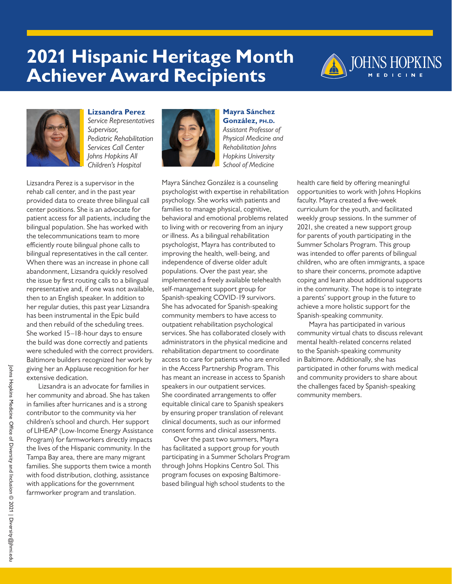



**Lizsandra Perez**  *Service Representatives Supervisor, Pediatric Rehabilitation Services Call Center Johns Hopkins All Children's Hospital*

Lizsandra Perez is a supervisor in the rehab call center, and in the past year provided data to create three bilingual call center positions. She is an advocate for patient access for all patients, including the bilingual population. She has worked with the telecommunications team to more efficiently route bilingual phone calls to bilingual representatives in the call center. When there was an increase in phone call abandonment, Lizsandra quickly resolved the issue by first routing calls to a bilingual representative and, if one was not available, then to an English speaker. In addition to her regular duties, this past year Lizsandra has been instrumental in the Epic build and then rebuild of the scheduling trees. She worked 15–18-hour days to ensure the build was done correctly and patients were scheduled with the correct providers. Baltimore builders recognized her work by giving her an Applause recognition for her extensive dedication.

Lizsandra is an advocate for families in her community and abroad. She has taken in families after hurricanes and is a strong contributor to the community via her children's school and church. Her support of LIHEAP (Low-Income Energy Assistance Program) for farmworkers directly impacts the lives of the Hispanic community. In the Tampa Bay area, there are many migrant families. She supports them twice a month with food distribution, clothing, assistance with applications for the government farmworker program and translation.



**Mayra Sánchez González, ph.d.**  *Assistant Professor of Physical Medicine and Rehabilitation Johns Hopkins University School of Medicine*

Mayra Sánchez González is a counseling psychologist with expertise in rehabilitation psychology. She works with patients and families to manage physical, cognitive, behavioral and emotional problems related to living with or recovering from an injury or illness. As a bilingual rehabilitation psychologist, Mayra has contributed to improving the health, well-being, and independence of diverse older adult populations. Over the past year, she implemented a freely available telehealth self-management support group for Spanish-speaking COVID-19 survivors. She has advocated for Spanish-speaking community members to have access to outpatient rehabilitation psychological services. She has collaborated closely with administrators in the physical medicine and rehabilitation department to coordinate access to care for patients who are enrolled in the Access Partnership Program. This has meant an increase in access to Spanish speakers in our outpatient services. She coordinated arrangements to offer equitable clinical care to Spanish speakers by ensuring proper translation of relevant clinical documents, such as our informed consent forms and clinical assessments.

Over the past two summers, Mayra has facilitated a support group for youth participating in a Summer Scholars Program through Johns Hopkins Centro Sol. This program focuses on exposing Baltimorebased bilingual high school students to the

health care field by offering meaningful opportunities to work with Johns Hopkins faculty. Mayra created a five-week curriculum for the youth, and facilitated weekly group sessions. In the summer of 2021, she created a new support group for parents of youth participating in the Summer Scholars Program. This group was intended to offer parents of bilingual children, who are often immigrants, a space to share their concerns, promote adaptive coping and learn about additional supports in the community. The hope is to integrate a parents' support group in the future to achieve a more holistic support for the Spanish-speaking community.

Mayra has participated in various community virtual chats to discuss relevant mental health-related concerns related to the Spanish-speaking community in Baltimore. Additionally, she has participated in other forums with medical and community providers to share about the challenges faced by Spanish-speaking community members.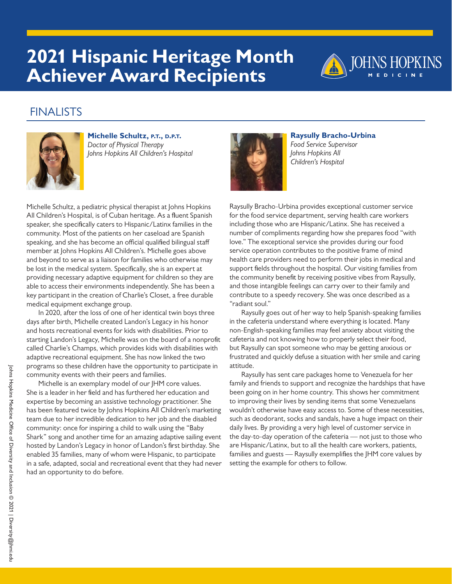

## FINALISTS



**Michelle Schultz, p.t., d.p.t.** *Doctor of Physical Therapy Johns Hopkins All Children's Hospital*

Michelle Schultz, a pediatric physical therapist at Johns Hopkins All Children's Hospital, is of Cuban heritage. As a fluent Spanish speaker, she specifically caters to Hispanic/Latinx families in the community. Most of the patients on her caseload are Spanish speaking, and she has become an official qualified bilingual staff member at Johns Hopkins All Children's. Michelle goes above and beyond to serve as a liaison for families who otherwise may be lost in the medical system. Specifically, she is an expert at providing necessary adaptive equipment for children so they are able to access their environments independently. She has been a key participant in the creation of Charlie's Closet, a free durable medical equipment exchange group.

In 2020, after the loss of one of her identical twin boys three days after birth, Michelle created Landon's Legacy in his honor and hosts recreational events for kids with disabilities. Prior to starting Landon's Legacy, Michelle was on the board of a nonprofit called Charlie's Champs, which provides kids with disabilities with adaptive recreational equipment. She has now linked the two programs so these children have the opportunity to participate in community events with their peers and families.

Michelle is an exemplary model of our JHM core values. She is a leader in her field and has furthered her education and expertise by becoming an assistive technology practitioner. She has been featured twice by Johns Hopkins All Children's marketing team due to her incredible dedication to her job and the disabled community: once for inspiring a child to walk using the "Baby Shark" song and another time for an amazing adaptive sailing event hosted by Landon's Legacy in honor of Landon's first birthday. She enabled 35 families, many of whom were Hispanic, to participate in a safe, adapted, social and recreational event that they had never had an opportunity to do before.



**Raysully Bracho-Urbina**  *Food Service Supervisor Johns Hopkins All Children's Hospital*

Raysully Bracho-Urbina provides exceptional customer service for the food service department, serving health care workers including those who are Hispanic/Latinx. She has received a number of compliments regarding how she prepares food "with love." The exceptional service she provides during our food service operation contributes to the positive frame of mind health care providers need to perform their jobs in medical and support fields throughout the hospital. Our visiting families from the community benefit by receiving positive vibes from Raysully, and those intangible feelings can carry over to their family and contribute to a speedy recovery. She was once described as a "radiant soul."

Raysully goes out of her way to help Spanish-speaking families in the cafeteria understand where everything is located. Many non-English-speaking families may feel anxiety about visiting the cafeteria and not knowing how to properly select their food, but Raysully can spot someone who may be getting anxious or frustrated and quickly defuse a situation with her smile and caring attitude.

Raysully has sent care packages home to Venezuela for her family and friends to support and recognize the hardships that have been going on in her home country. This shows her commitment to improving their lives by sending items that some Venezuelans wouldn't otherwise have easy access to. Some of these necessities, such as deodorant, socks and sandals, have a huge impact on their daily lives. By providing a very high level of customer service in the day-to-day operation of the cafeteria — not just to those who are Hispanic/Latinx, but to all the health care workers, patients, families and guests — Raysully exemplifies the JHM core values by setting the example for others to follow.